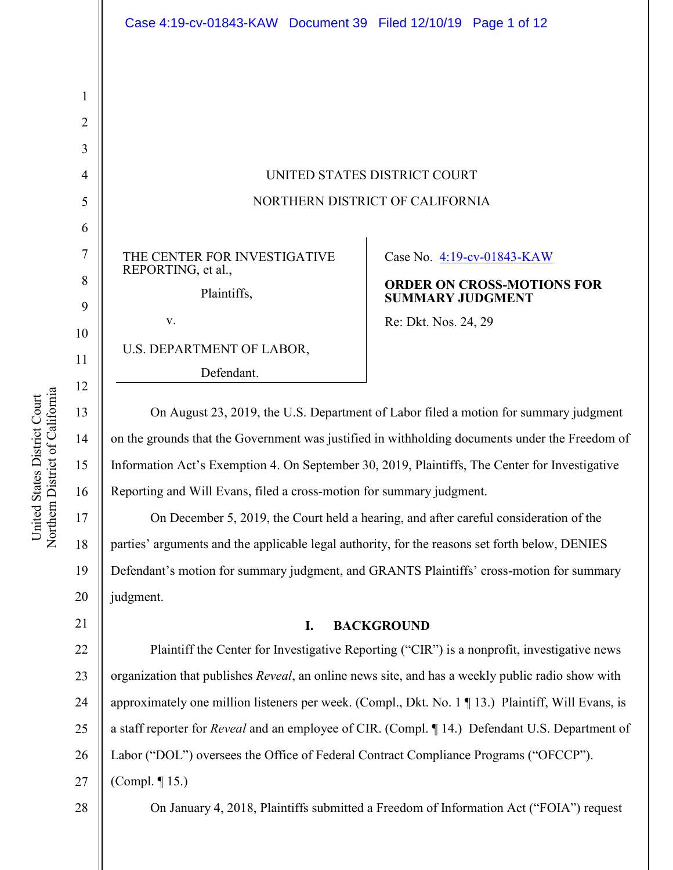| UNITED STATES DISTRICT COURT    |
|---------------------------------|
| NORTHERN DISTRICT OF CALIFORNIA |

THE CENTER FOR INVESTIGATIVE REPORTING, et al., Plaintiffs,

U.S. DEPARTMENT OF LABOR, Defendant.

v.

# Case No. 4:19-cv-01843-KAW

## **ORDER ON CROSS-MOTIONS FOR SUMMARY JUDGMENT**

Re: Dkt. Nos. 24, 29

On August 23, 2019, the U.S. Department of Labor filed a motion for summary judgment on the grounds that the Government was justified in withholding documents under the Freedom of Information Act's Exemption 4. On September 30, 2019, Plaintiffs, The Center for Investigative Reporting and Will Evans, filed a cross-motion for summary judgment.

On December 5, 2019, the Court held a hearing, and after careful consideration of the parties' arguments and the applicable legal authority, for the reasons set forth below, DENIES Defendant's motion for summary judgment, and GRANTS Plaintiffs' cross-motion for summary judgment.

## **I. BACKGROUND**

22 23 24 25 26 27 Plaintiff the Center for Investigative Reporting ("CIR") is a nonprofit, investigative news organization that publishes *Reveal*, an online news site, and has a weekly public radio show with approximately one million listeners per week. (Compl., Dkt. No. 1 ¶ 13.) Plaintiff, Will Evans, is a staff reporter for *Reveal* and an employee of CIR. (Compl. ¶ 14.) Defendant U.S. Department of Labor ("DOL") oversees the Office of Federal Contract Compliance Programs ("OFCCP"). (Compl. ¶ 15.)

28

On January 4, 2018, Plaintiffs submitted a Freedom of Information Act ("FOIA") request

1

2

3

4

5

6

7

8

9

10

11

12

13

14

15

16

17

18

19

20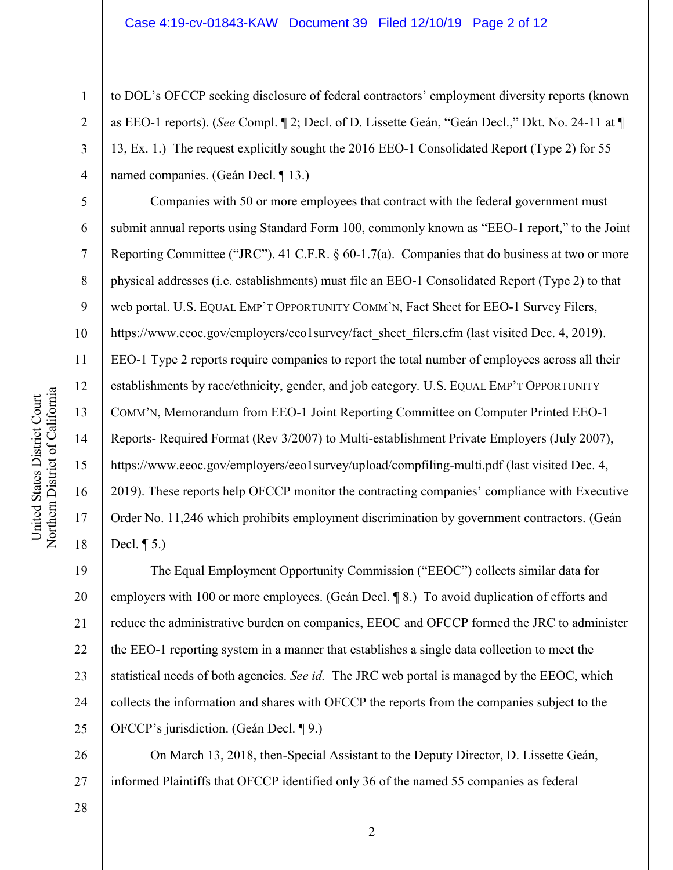to DOL's OFCCP seeking disclosure of federal contractors' employment diversity reports (known as EEO-1 reports). (*See* Compl.  $\llbracket 2$ ; Decl. of D. Lissette Geán, "Geán Decl.," Dkt. No. 24-11 at  $\llbracket$ 13, Ex. 1.) The request explicitly sought the 2016 EEO-1 Consolidated Report (Type 2) for 55 named companies. (Geán Decl. ¶ 13.)

Companies with 50 or more employees that contract with the federal government must submit annual reports using Standard Form 100, commonly known as "EEO-1 report," to the Joint Reporting Committee ("JRC"). 41 C.F.R.  $\S$  60-1.7(a). Companies that do business at two or more physical addresses (i.e. establishments) must file an EEO-1 Consolidated Report (Type 2) to that web portal. U.S. EQUAL EMP'T OPPORTUNITY COMM'N, Fact Sheet for EEO-1 Survey Filers, https://www.eeoc.gov/employers/eeo1survey/fact\_sheet\_filers.cfm (last visited Dec. 4, 2019). EEO-1 Type 2 reports require companies to report the total number of employees across all their establishments by race/ethnicity, gender, and job category. U.S. EQUAL EMP'T OPPORTUNITY COMM¶N, Memorandum from EEO-1 Joint Reporting Committee on Computer Printed EEO-1 Reports- Required Format (Rev 3/2007) to Multi-establishment Private Employers (July 2007), https://www.eeoc.gov/employers/eeo1survey/upload/compfiling-multi.pdf (last visited Dec. 4, 2019). These reports help OFCCP monitor the contracting companies' compliance with Executive Order No. 11,246 which prohibits employment discrimination by government contractors. (Geán Decl. ¶ 5.)

19 20 21 22 23 24 25 The Equal Employment Opportunity Commission ("EEOC") collects similar data for employers with 100 or more employees. (Geán Decl. ¶ 8.) To avoid duplication of efforts and reduce the administrative burden on companies, EEOC and OFCCP formed the JRC to administer the EEO-1 reporting system in a manner that establishes a single data collection to meet the statistical needs of both agencies. *See id.* The JRC web portal is managed by the EEOC, which collects the information and shares with OFCCP the reports from the companies subject to the OFCCP's jurisdiction. (Geán Decl. 19.)

26 27 On March 13, 2018, then-Special Assistant to the Deputy Director, D. Lissette Geán, informed Plaintiffs that OFCCP identified only 36 of the named 55 companies as federal

28

1

2

3

4

5

6

7

8

9

10

11

12

13

14

15

16

17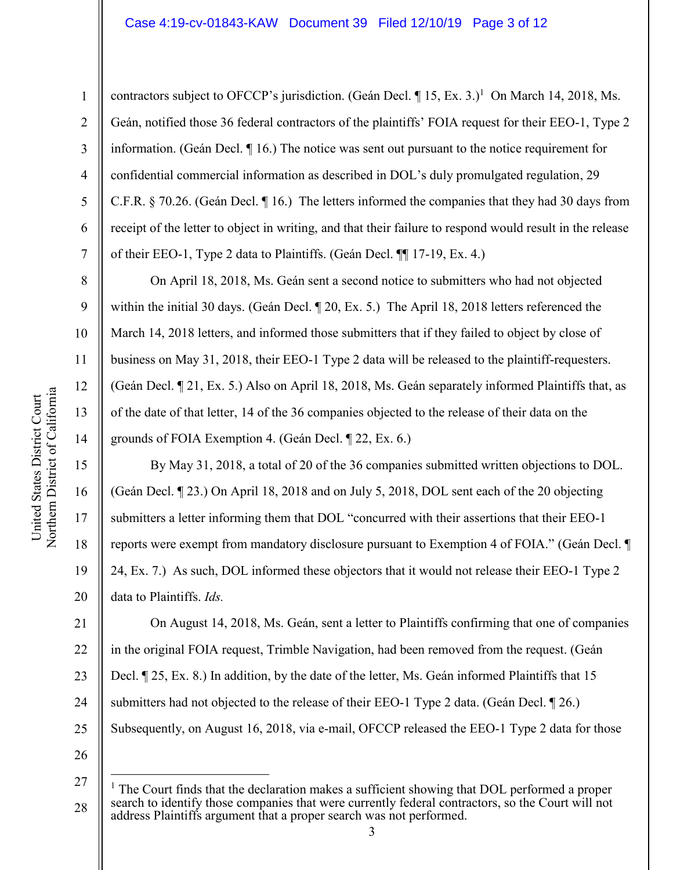contractors subject to OFCCP's jurisdiction. (Geán Decl.  $\P$  15, Ex. 3.)<sup>1</sup> On March 14, 2018, Ms. Geán, notified those 36 federal contractors of the plaintiffs' FOIA request for their EEO-1, Type 2 information. (Geán Decl. ¶ 16.) The notice was sent out pursuant to the notice requirement for confidential commercial information as described in DOL's duly promulgated regulation, 29 C.F.R. § 70.26. (Geán Decl. ¶ 16.) The letters informed the companies that they had 30 days from receipt of the letter to object in writing, and that their failure to respond would result in the release of their EEO-1, Type 2 data to Plaintiffs. (Geán Decl. ¶¶ 17-19, Ex. 4.)

On April 18, 2018, Ms. Geán sent a second notice to submitters who had not objected within the initial 30 days. (Geán Decl. ¶ 20, Ex. 5.) The April 18, 2018 letters referenced the March 14, 2018 letters, and informed those submitters that if they failed to object by close of business on May 31, 2018, their EEO-1 Type 2 data will be released to the plaintiff-requesters. (Geán Decl. ¶ 21, Ex. 5.) Also on April 18, 2018, Ms. Geán separately informed Plaintiffs that, as of the date of that letter, 14 of the 36 companies objected to the release of their data on the grounds of FOIA Exemption 4. (Geán Decl. ¶ 22, Ex. 6.)

By May 31, 2018, a total of 20 of the 36 companies submitted written objections to DOL. (Geán Decl. ¶ 23.) On April 18, 2018 and on July 5, 2018, DOL sent each of the 20 objecting submitters a letter informing them that DOL "concurred with their assertions that their EEO-1 reports were exempt from mandatory disclosure pursuant to Exemption 4 of FOIA.<sup>\*</sup> (Geán Decl. ¶ 24, Ex. 7.) As such, DOL informed these objectors that it would not release their EEO-1 Type 2 data to Plaintiffs. *Ids.*

21 22 23 24 25 On August 14, 2018, Ms. Geán, sent a letter to Plaintiffs confirming that one of companies in the original FOIA request, Trimble Navigation, had been removed from the request. (Geán Decl. ¶ 25, Ex. 8.) In addition, by the date of the letter, Ms. Geán informed Plaintiffs that 15 submitters had not objected to the release of their EEO-1 Type 2 data. (Geán Decl.  $\sqrt{26}$ .) Subsequently, on August 16, 2018, via e-mail, OFCCP released the EEO-1 Type 2 data for those

26

1

2

3

4

5

6

7

8

9

10

11

12

13

14

15

16

17

18

19

<sup>27</sup> 28  $<sup>1</sup>$  The Court finds that the declaration makes a sufficient showing that DOL performed a proper</sup> search to identify those companies that were currently federal contractors, so the Court will not address Plaintiffs argument that a proper search was not performed.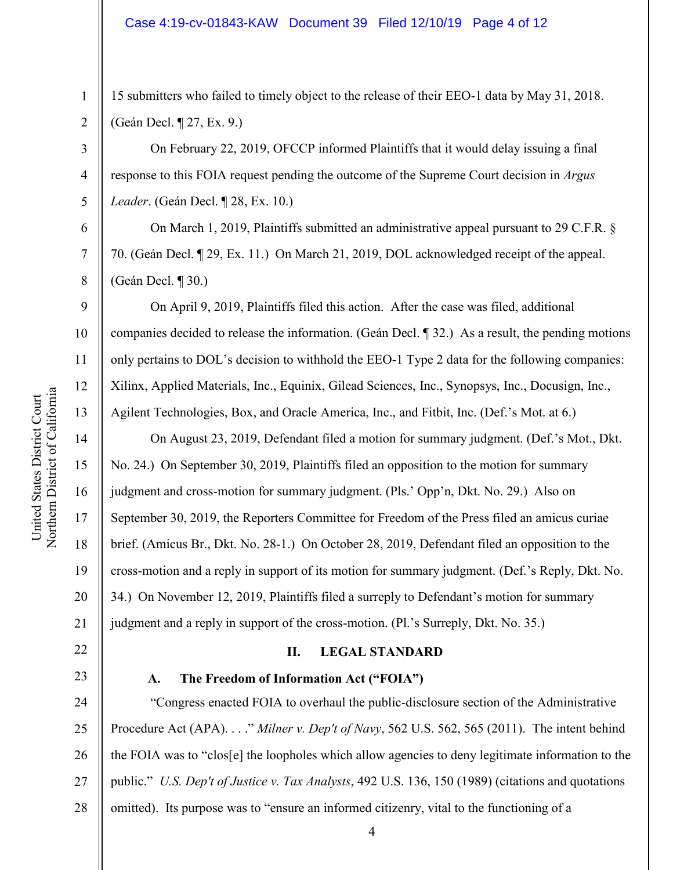15 submitters who failed to timely object to the release of their EEO-1 data by May 31, 2018. (Geán Decl. ¶ 27, Ex. 9.)

On February 22, 2019, OFCCP informed Plaintiffs that it would delay issuing a final response to this FOIA request pending the outcome of the Supreme Court decision in *Argus Leader*. (Geán Decl. ¶ 28, Ex. 10.)

On March 1, 2019, Plaintiffs submitted an administrative appeal pursuant to 29 C.F.R. § 70. (Geán Decl. ¶ 29, Ex. 11.) On March 21, 2019, DOL acknowledged receipt of the appeal. (Geán Decl. ¶ 30.)

On April 9, 2019, Plaintiffs filed this action. After the case was filed, additional companies decided to release the information. (Geán Decl. ¶ 32.) As a result, the pending motions only pertains to DOL's decision to withhold the EEO-1 Type 2 data for the following companies: Xilinx, Applied Materials, Inc., Equinix, Gilead Sciences, Inc., Synopsys, Inc., Docusign, Inc., Agilent Technologies, Box, and Oracle America, Inc., and Fitbit, Inc. (Def.'s Mot. at 6.)

On August 23, 2019, Defendant filed a motion for summary judgment. (Def.'s Mot., Dkt. No. 24.) On September 30, 2019, Plaintiffs filed an opposition to the motion for summary judgment and cross-motion for summary judgment. (Pls.' Opp'n, Dkt. No. 29.) Also on September 30, 2019, the Reporters Committee for Freedom of the Press filed an amicus curiae brief. (Amicus Br., Dkt. No. 28-1.) On October 28, 2019, Defendant filed an opposition to the cross-motion and a reply in support of its motion for summary judgment. (Def.'s Reply, Dkt. No. 34.) On November 12, 2019, Plaintiffs filed a surreply to Defendant's motion for summary judgment and a reply in support of the cross-motion. (Pl.'s Surreply, Dkt. No. 35.)

# **II. LEGAL STANDARD**

**A. The Freedom of Information Act ("FOIA")**

24 25 26 27 28 ³Congress enacted FOIA to overhaul the public-disclosure section of the Administrative Procedure Act (APA). . . ." *Milner v. Dep't of Navy*, 562 U.S. 562, 565 (2011). The intent behind the FOIA was to "clos<sup>[e]</sup> the loopholes which allow agencies to deny legitimate information to the public." *U.S. Dep't of Justice v. Tax Analysts*, 492 U.S. 136, 150 (1989) (citations and quotations omitted). Its purpose was to "ensure an informed citizenry, vital to the functioning of a

1

2

3

4

5

6

7

8

9

10

11

12

13

14

15

16

17

18

19

20

21

22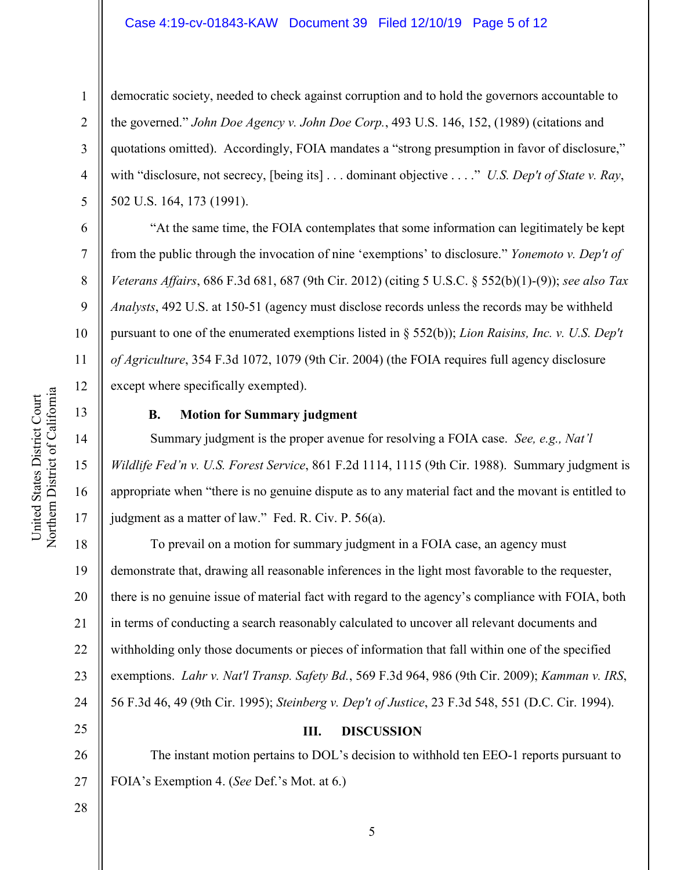#### Case 4:19-cv-01843-KAW Document 39 Filed 12/10/19 Page 5 of 12

democratic society, needed to check against corruption and to hold the governors accountable to the governed." *John Doe Agency v. John Doe Corp.*, 493 U.S. 146, 152, (1989) (citations and quotations omitted). Accordingly, FOIA mandates a "strong presumption in favor of disclosure," with "disclosure, not secrecy, [being its] . . . dominant objective . . . . " U.S. Dep't of State v. Ray, 502 U.S. 164, 173 (1991).

³At the same time, the FOIA contemplates that some information can legitimately be kept from the public through the invocation of nine 'exemptions' to disclosure.'' *Yonemoto v. Dep't of Veterans Affairs*, 686 F.3d 681, 687 (9th Cir. 2012) (citing 5 U.S.C. § 552(b)(1)-(9)); *see also Tax Analysts*, 492 U.S. at 150-51 (agency must disclose records unless the records may be withheld pursuant to one of the enumerated exemptions listed in § 552(b)); *Lion Raisins, Inc. v. U.S. Dep't of Agriculture*, 354 F.3d 1072, 1079 (9th Cir. 2004) (the FOIA requires full agency disclosure except where specifically exempted).

13

14

15

16

17

1

2

3

4

5

6

7

8

9

10

11

12

## **B. Motion for Summary judgment**

Summary judgment is the proper avenue for resolving a FOIA case. *See, e.g., Nat<sup>'</sup>l Wildlife Fed¶n v. U.S. Forest Service*, 861 F.2d 1114, 1115 (9th Cir. 1988). Summary judgment is appropriate when "there is no genuine dispute as to any material fact and the movant is entitled to judgment as a matter of law." Fed. R. Civ. P.  $56(a)$ .

18 19 20 21 22 23 24 25 To prevail on a motion for summary judgment in a FOIA case, an agency must demonstrate that, drawing all reasonable inferences in the light most favorable to the requester, there is no genuine issue of material fact with regard to the agency's compliance with FOIA, both in terms of conducting a search reasonably calculated to uncover all relevant documents and withholding only those documents or pieces of information that fall within one of the specified exemptions. *Lahr v. Nat'l Transp. Safety Bd.*, 569 F.3d 964, 986 (9th Cir. 2009); *Kamman v. IRS*, 56 F.3d 46, 49 (9th Cir. 1995); *Steinberg v. Dep't of Justice*, 23 F.3d 548, 551 (D.C. Cir. 1994).

# **III. DISCUSSION**

The instant motion pertains to DOL's decision to withhold ten EEO-1 reports pursuant to FOIA's Exemption 4. (*See Def.*'s Mot. at 6.)

Northern District of California Northern District of California United States District Court United States District Court

26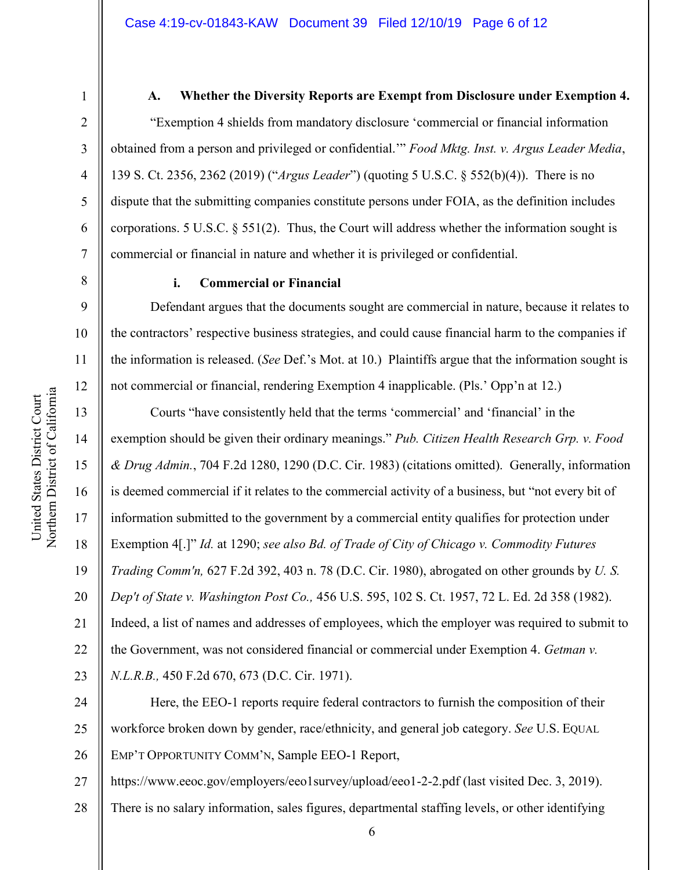#### **A. Whether the Diversity Reports are Exempt from Disclosure under Exemption 4.**

"Exemption 4 shields from mandatory disclosure 'commercial or financial information obtained from a person and privileged or confidential." *Food Mktg. Inst. v. Argus Leader Media*, 139 S. Ct. 2356, 2362 (2019) ("*Argus Leader*") (quoting 5 U.S.C. § 552(b)(4)). There is no dispute that the submitting companies constitute persons under FOIA, as the definition includes corporations. 5 U.S.C. § 551(2). Thus, the Court will address whether the information sought is commercial or financial in nature and whether it is privileged or confidential.

11

12

## **i. Commercial or Financial**

Defendant argues that the documents sought are commercial in nature, because it relates to the contractors' respective business strategies, and could cause financial harm to the companies if the information is released. (*See Def.*'s Mot. at 10.) Plaintiffs argue that the information sought is not commercial or financial, rendering Exemption 4 inapplicable. (Pls.' Opp'n at 12.)

13 14 15 16 17 18 19 20 21 22 23 Courts "have consistently held that the terms 'commercial' and 'financial' in the exemption should be given their ordinary meanings.´ *Pub. Citizen Health Research Grp. v. Food & Drug Admin.*, 704 F.2d 1280, 1290 (D.C. Cir. 1983) (citations omitted). Generally, information is deemed commercial if it relates to the commercial activity of a business, but "not every bit of information submitted to the government by a commercial entity qualifies for protection under Exemption 4[.]" *Id.* at 1290; see also Bd. of Trade of City of Chicago v. Commodity Futures *Trading Comm'n,* 627 F.2d 392, 403 n. 78 (D.C. Cir. 1980), abrogated on other grounds by *U. S. Dep't of State v. Washington Post Co.,* 456 U.S. 595, 102 S. Ct. 1957, 72 L. Ed. 2d 358 (1982). Indeed, a list of names and addresses of employees, which the employer was required to submit to the Government, was not considered financial or commercial under Exemption 4. *Getman v. N.L.R.B.,* 450 F.2d 670, 673 (D.C. Cir. 1971).

24 25 26 Here, the EEO-1 reports require federal contractors to furnish the composition of their workforce broken down by gender, race/ethnicity, and general job category. *See* U.S. EQUAL EMP'T OPPORTUNITY COMM'N, Sample EEO-1 Report,

27 https://www.eeoc.gov/employers/eeo1survey/upload/eeo1-2-2.pdf (last visited Dec. 3, 2019).

28 There is no salary information, sales figures, departmental staffing levels, or other identifying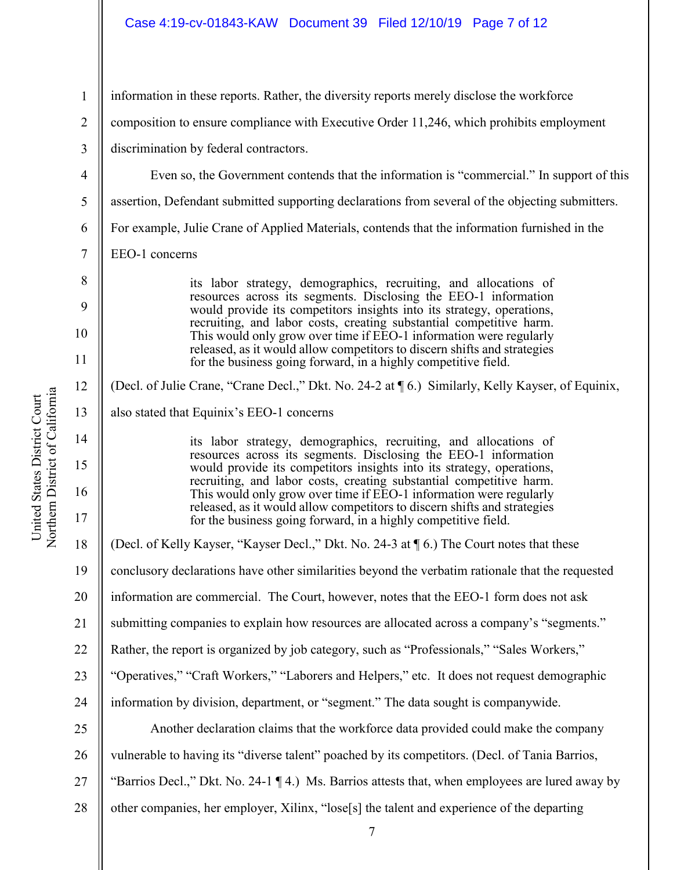information in these reports. Rather, the diversity reports merely disclose the workforce

composition to ensure compliance with Executive Order 11,246, which prohibits employment

discrimination by federal contractors.

Even so, the Government contends that the information is "commercial." In support of this

assertion, Defendant submitted supporting declarations from several of the objecting submitters.

For example, Julie Crane of Applied Materials, contends that the information furnished in the

EEO-1 concerns

1

2

3

4

5

6

7

8

9

10

11

12

13

14

15

16

17

18

25

26

its labor strategy, demographics, recruiting, and allocations of resources across its segments. Disclosing the EEO-1 information would provide its competitors insights into its strategy, operations, recruiting, and labor costs, creating substantial competitive harm. This would only grow over time if EEO-1 information were regularly released, as it would allow competitors to discern shifts and strategies for the business going forward, in a highly competitive field.

(Decl. of Julie Crane, "Crane Decl.," Dkt. No. 24-2 at  $\P$  6.) Similarly, Kelly Kayser, of Equinix,

also stated that Equinix's EEO-1 concerns

its labor strategy, demographics, recruiting, and allocations of resources across its segments. Disclosing the EEO-1 information would provide its competitors insights into its strategy, operations, recruiting, and labor costs, creating substantial competitive harm. This would only grow over time if EEO-1 information were regularly released, as it would allow competitors to discern shifts and strategies for the business going forward, in a highly competitive field.

(Decl. of Kelly Kayser, "Kayser Decl.," Dkt. No. 24-3 at  $\P$  6.) The Court notes that these

19 conclusory declarations have other similarities beyond the verbatim rationale that the requested

20 information are commercial. The Court, however, notes that the EEO-1 form does not ask

21 submitting companies to explain how resources are allocated across a company's "segments."

22 Rather, the report is organized by job category, such as "Professionals," "Sales Workers,"

23 "Operatives," "Craft Workers," "Laborers and Helpers," etc. It does not request demographic

24 information by division, department, or "segment." The data sought is companywide.

Another declaration claims that the workforce data provided could make the company

vulnerable to having its "diverse talent" poached by its competitors. (Decl. of Tania Barrios,

27 "Barrios Decl.," Dkt. No. 24-1  $\P$ 4.) Ms. Barrios attests that, when employees are lured away by

28 other companies, her employer, Xilinx, "lose[s] the talent and experience of the departing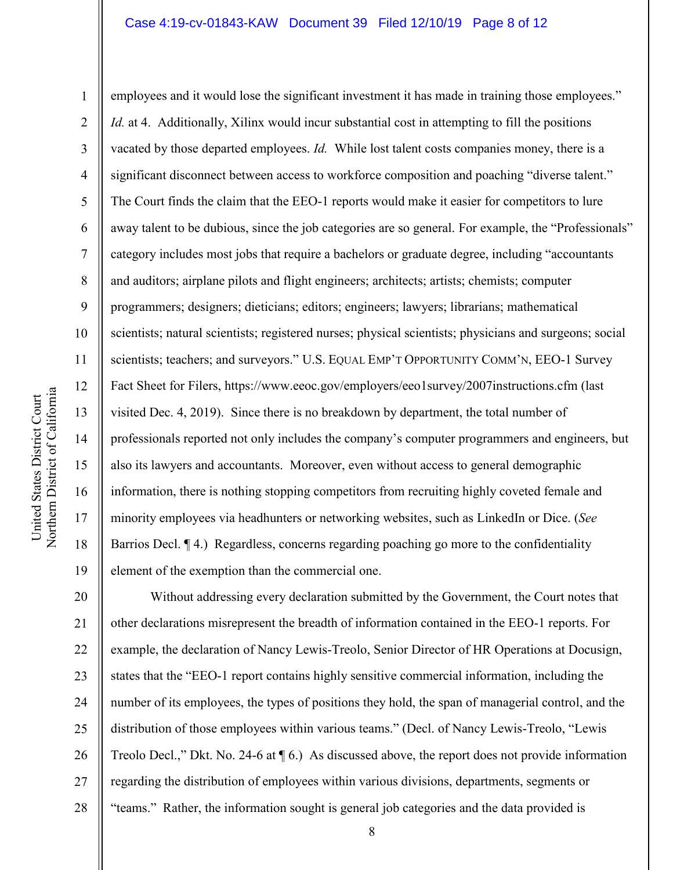#### Case 4:19-cv-01843-KAW Document 39 Filed 12/10/19 Page 8 of 12

Northern District of California Northern District of California United States District Court United States District Court

1

2

3

4

5

6

7

8

9

11

12

13

14

15

17

18

19

10 16 employees and it would lose the significant investment it has made in training those employees." *Id.* at 4. Additionally, Xilinx would incur substantial cost in attempting to fill the positions vacated by those departed employees. *Id.* While lost talent costs companies money, there is a significant disconnect between access to workforce composition and poaching "diverse talent." The Court finds the claim that the EEO-1 reports would make it easier for competitors to lure away talent to be dubious, since the job categories are so general. For example, the "Professionals" category includes most jobs that require a bachelors or graduate degree, including "accountants" and auditors; airplane pilots and flight engineers; architects; artists; chemists; computer programmers; designers; dieticians; editors; engineers; lawyers; librarians; mathematical scientists; natural scientists; registered nurses; physical scientists; physicians and surgeons; social scientists; teachers; and surveyors." U.S. EQUAL EMP'T OPPORTUNITY COMM'N, EEO-1 Survey Fact Sheet for Filers, https://www.eeoc.gov/employers/eeo1survey/2007instructions.cfm (last visited Dec. 4, 2019). Since there is no breakdown by department, the total number of professionals reported not only includes the company's computer programmers and engineers, but also its lawyers and accountants. Moreover, even without access to general demographic information, there is nothing stopping competitors from recruiting highly coveted female and minority employees via headhunters or networking websites, such as LinkedIn or Dice. (*See*  Barrios Decl. ¶ 4.) Regardless, concerns regarding poaching go more to the confidentiality element of the exemption than the commercial one.

20 21 22 23 24 25 26 27 28 Without addressing every declaration submitted by the Government, the Court notes that other declarations misrepresent the breadth of information contained in the EEO-1 reports. For example, the declaration of Nancy Lewis-Treolo, Senior Director of HR Operations at Docusign, states that the "EEO-1 report contains highly sensitive commercial information, including the number of its employees, the types of positions they hold, the span of managerial control, and the distribution of those employees within various teams." (Decl. of Nancy Lewis-Treolo, "Lewis Treolo Decl.," Dkt. No. 24-6 at  $\P$  6.) As discussed above, the report does not provide information regarding the distribution of employees within various divisions, departments, segments or "teams." Rather, the information sought is general job categories and the data provided is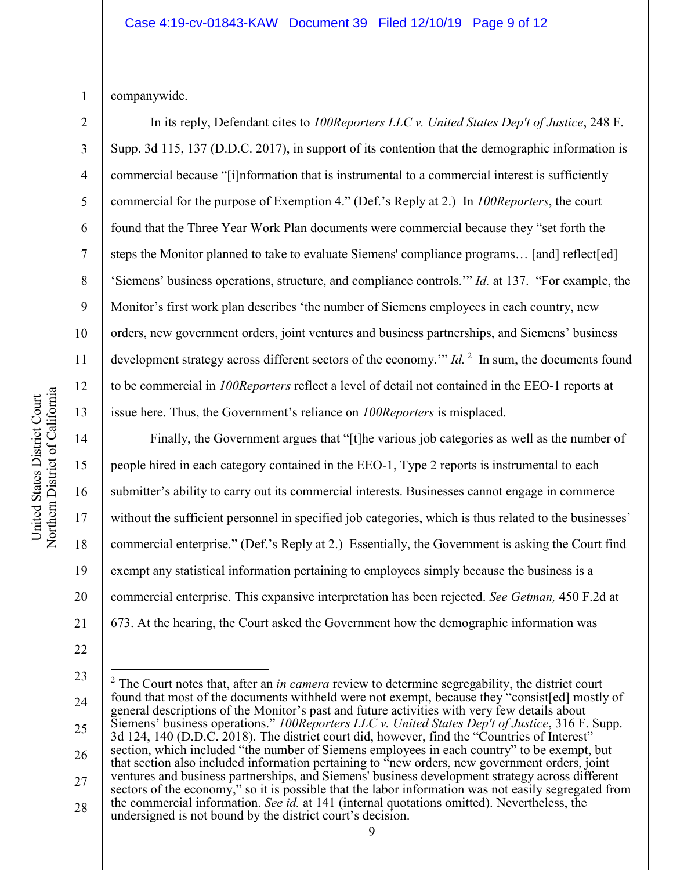# Case 4:19-cv-01843-KAW Document 39 Filed 12/10/19 Page 9 of 12

companywide.

1

2

3

4

5

6

7

8

9

10

11

12

13

14

15

16

17

18

19

20

21

In its reply, Defendant cites to *100Reporters LLC v. United States Dep't of Justice*, 248 F. Supp. 3d 115, 137 (D.D.C. 2017), in support of its contention that the demographic information is commercial because "[i]nformation that is instrumental to a commercial interest is sufficiently commercial for the purpose of Exemption 4.<sup>\*</sup> (Def.<sup>\*</sup>s Reply at 2.) In *100Reporters*, the court found that the Three Year Work Plan documents were commercial because they "set forth the steps the Monitor planned to take to evaluate Siemens' compliance programs... [and] reflect[ed] Siemens' business operations, structure, and compliance controls." *Id.* at 137. "For example, the Monitor's first work plan describes 'the number of Siemens employees in each country, new orders, new government orders, joint ventures and business partnerships, and Siemens' business development strategy across different sectors of the economy." *Id.* <sup>2</sup> In sum, the documents found to be commercial in *100Reporters* reflect a level of detail not contained in the EEO-1 reports at issue here. Thus, the Government's reliance on *100Reporters* is misplaced.

Finally, the Government argues that "[t]he various job categories as well as the number of people hired in each category contained in the EEO-1, Type 2 reports is instrumental to each submitter's ability to carry out its commercial interests. Businesses cannot engage in commerce without the sufficient personnel in specified job categories, which is thus related to the businesses' commercial enterprise. $\Gamma$  (Def.'s Reply at 2.) Essentially, the Government is asking the Court find exempt any statistical information pertaining to employees simply because the business is a commercial enterprise. This expansive interpretation has been rejected. *See Getman,* 450 F.2d at 673. At the hearing, the Court asked the Government how the demographic information was

22

28 undersigned is not bound by the district court's decision.

<sup>23</sup> 24 25 26 27 2 The Court notes that, after an *in camera* review to determine segregability, the district court found that most of the documents withheld were not exempt, because they "consist[ed] mostly of general descriptions of the Monitor's past and future activities with very few details about Siemens' business operations." *100Reporters LLC v. United States Dep't of Justice*, 316 F. Supp. 3d 124, 140 (D.D.C. 2018). The district court did, however, find the "Countries of Interest" section, which included "the number of Siemens employees in each country" to be exempt, but that section also included information pertaining to "new orders, new government orders, joint ventures and business partnerships, and Siemens' business development strategy across different sectors of the economy," so it is possible that the labor information was not easily segregated from the commercial information. *See id.* at 141 (internal quotations omitted). Nevertheless, the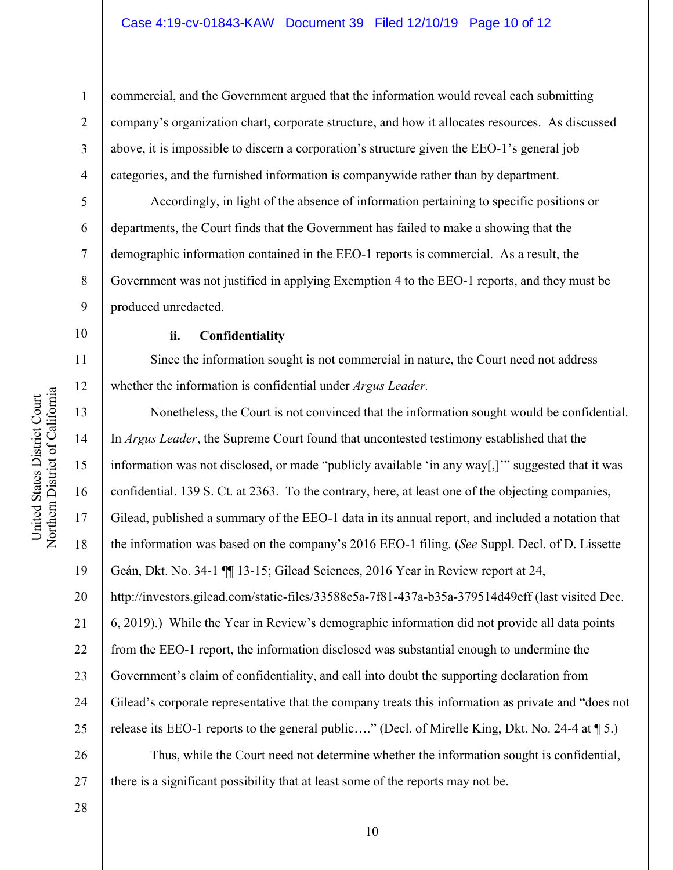commercial, and the Government argued that the information would reveal each submitting company's organization chart, corporate structure, and how it allocates resources. As discussed above, it is impossible to discern a corporation's structure given the EEO-1's general job categories, and the furnished information is companywide rather than by department.

Accordingly, in light of the absence of information pertaining to specific positions or departments, the Court finds that the Government has failed to make a showing that the demographic information contained in the EEO-1 reports is commercial. As a result, the Government was not justified in applying Exemption 4 to the EEO-1 reports, and they must be produced unredacted.

# **ii. Confidentiality**

Since the information sought is not commercial in nature, the Court need not address whether the information is confidential under *Argus Leader.*

16 20 22 24 26 Nonetheless, the Court is not convinced that the information sought would be confidential. In *Argus Leader*, the Supreme Court found that uncontested testimony established that the information was not disclosed, or made "publicly available 'in any way[,]" suggested that it was confidential. 139 S. Ct. at 2363. To the contrary, here, at least one of the objecting companies, Gilead, published a summary of the EEO-1 data in its annual report, and included a notation that the information was based on the compan\¶s 2016 EEO-1 filing. (*See* Suppl. Decl. of D. Lissette Geán, Dkt. No. 34-1 ¶¶ 13-15; Gilead Sciences, 2016 Year in Review report at 24, http://investors.gilead.com/static-files/33588c5a-7f81-437a-b35a-379514d49eff (last visited Dec. 6, 2019).) While the Year in Review's demographic information did not provide all data points from the EEO-1 report, the information disclosed was substantial enough to undermine the Government's claim of confidentiality, and call into doubt the supporting declaration from Gilead's corporate representative that the company treats this information as private and "does not" release its EEO-1 reports to the general public...." (Decl. of Mirelle King, Dkt. No. 24-4 at  $\llbracket 5 \rrbracket$ ) Thus, while the Court need not determine whether the information sought is confidential,

27 there is a significant possibility that at least some of the reports may not be.

Northern District of California Northern District of California United States District Court United States District Court

1

2

3

4

5

6

7

8

9

10

11

12

13

14

15

17

18

19

21

23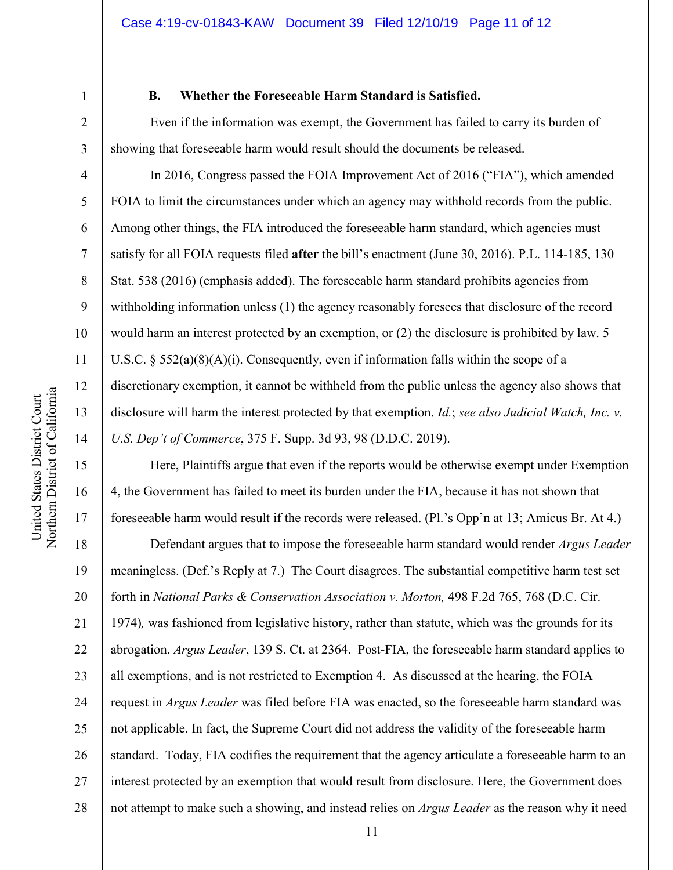5

6

7

8

9

10

11

12

13

14

15

16

17

#### **B. Whether the Foreseeable Harm Standard is Satisfied.**

Even if the information was exempt, the Government has failed to carry its burden of showing that foreseeable harm would result should the documents be released.

In 2016, Congress passed the FOIA Improvement Act of 2016 ("FIA"), which amended FOIA to limit the circumstances under which an agency may withhold records from the public. Among other things, the FIA introduced the foreseeable harm standard, which agencies must satisfy for all FOIA requests filed **after** the bill's enactment (June 30, 2016). P.L. 114-185, 130 Stat. 538 (2016) (emphasis added). The foreseeable harm standard prohibits agencies from withholding information unless (1) the agency reasonably foresees that disclosure of the record would harm an interest protected by an exemption, or (2) the disclosure is prohibited by law. 5 U.S.C.  $\S 552(a)(8)(A)(i)$ . Consequently, even if information falls within the scope of a discretionary exemption, it cannot be withheld from the public unless the agency also shows that disclosure will harm the interest protected by that exemption. *Id.*; *see also Judicial Watch, Inc. v. U.S. Dep't of Commerce*, 375 F. Supp. 3d 93, 98 (D.D.C. 2019).

Here, Plaintiffs argue that even if the reports would be otherwise exempt under Exemption 4, the Government has failed to meet its burden under the FIA, because it has not shown that fore seeable harm would result if the records were released. (Pl.'s Opp'n at 13; Amicus Br. At 4.)

18 19 20 21 22 23 24 25 26 27 28 Defendant argues that to impose the foreseeable harm standard would render *Argus Leader* meaningless. (Def.'s Reply at 7.) The Court disagrees. The substantial competitive harm test set forth in *National Parks & Conservation Association v. Morton,* 498 F.2d 765, 768 (D.C. Cir. 1974)*,* was fashioned from legislative history, rather than statute, which was the grounds for its abrogation. *Argus Leader*, 139 S. Ct. at 2364. Post-FIA, the foreseeable harm standard applies to all exemptions, and is not restricted to Exemption 4. As discussed at the hearing, the FOIA request in *Argus Leader* was filed before FIA was enacted, so the foreseeable harm standard was not applicable. In fact, the Supreme Court did not address the validity of the foreseeable harm standard. Today, FIA codifies the requirement that the agency articulate a foreseeable harm to an interest protected by an exemption that would result from disclosure. Here, the Government does not attempt to make such a showing, and instead relies on *Argus Leader* as the reason why it need